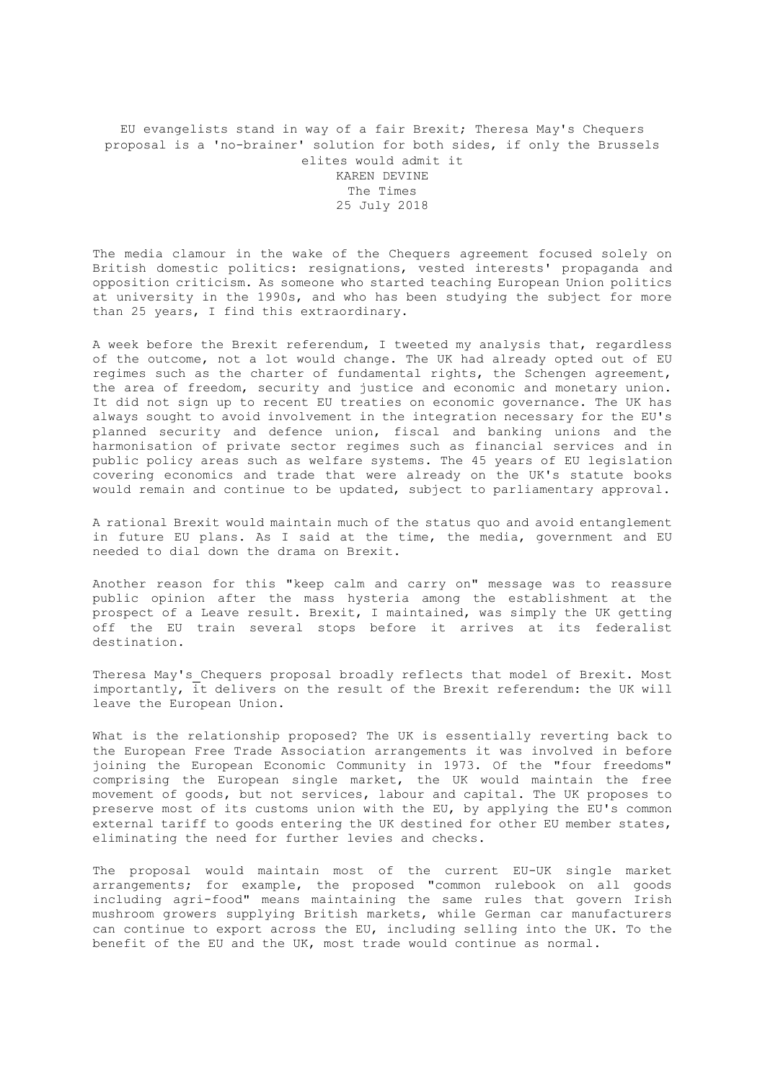EU evangelists stand in way of a fair Brexit; Theresa May's Chequers proposal is a 'no-brainer' solution for both sides, if only the Brussels elites would admit it KAREN DEVINE The Times 25 July 2018

The media clamour in the wake of the Chequers agreement focused solely on British domestic politics: resignations, vested interests' propaganda and opposition criticism. As someone who started teaching European Union politics at university in the 1990s, and who has been studying the subject for more than 25 years, I find this extraordinary.

A week before the Brexit referendum, I tweeted my analysis that, regardless of the outcome, not a lot would change. The UK had already opted out of EU regimes such as the charter of fundamental rights, the Schengen agreement, the area of freedom, security and justice and economic and monetary union. It did not sign up to recent EU treaties on economic governance. The UK has always sought to avoid involvement in the integration necessary for the EU's planned security and defence union, fiscal and banking unions and the harmonisation of private sector regimes such as financial services and in public policy areas such as welfare systems. The 45 years of EU legislation covering economics and trade that were already on the UK's statute books would remain and continue to be updated, subject to parliamentary approval.

A rational Brexit would maintain much of the status quo and avoid entanglement in future EU plans. As I said at the time, the media, government and EU needed to dial down the drama on Brexit.

Another reason for this "keep calm and carry on" message was to reassure public opinion after the mass hysteria among the establishment at the prospect of a Leave result. Brexit, I maintained, was simply the UK getting off the EU train several stops before it arrives at its federalist destination.

Theresa May's Chequers proposal broadly reflects that model of Brexit. Most importantly, it delivers on the result of the Brexit referendum: the UK will leave the European Union.

What is the relationship proposed? The UK is essentially reverting back to the European Free Trade Association arrangements it was involved in before joining the European Economic Community in 1973. Of the "four freedoms" comprising the European single market, the UK would maintain the free movement of goods, but not services, labour and capital. The UK proposes to preserve most of its customs union with the EU, by applying the EU's common external tariff to goods entering the UK destined for other EU member states, eliminating the need for further levies and checks.

The proposal would maintain most of the current EU-UK single market arrangements; for example, the proposed "common rulebook on all goods including agri-food" means maintaining the same rules that govern Irish mushroom growers supplying British markets, while German car manufacturers can continue to export across the EU, including selling into the UK. To the benefit of the EU and the UK, most trade would continue as normal.